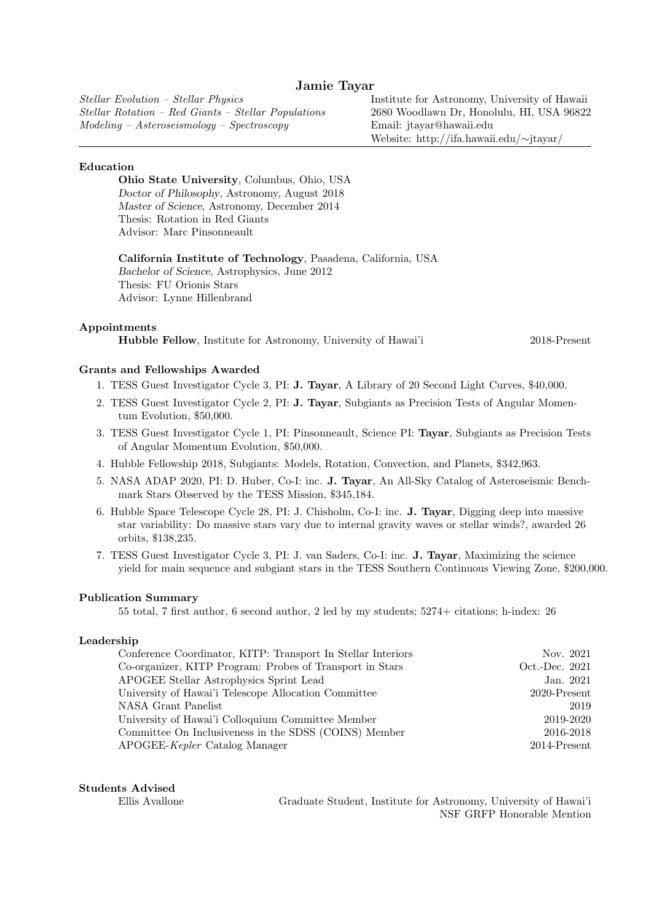# Jamie Tayar

Stellar Evolution – Stellar Physics Stellar Rotation – Red Giants – Stellar Populations Modeling – Asteroseismology – Spectroscopy

Institute for Astronomy, University of Hawaii 2680 Woodlawn Dr, Honolulu, HI, USA 96822 Email: jtayar@hawaii.edu Website: http://ifa.hawaii.edu/∼jtayar/

#### Education

Ohio State University, Columbus, Ohio, USA Doctor of Philosophy, Astronomy, August 2018 Master of Science, Astronomy, December 2014 Thesis: Rotation in Red Giants Advisor: Marc Pinsonneault

California Institute of Technology, Pasadena, California, USA Bachelor of Science, Astrophysics, June 2012 Thesis: FU Orionis Stars Advisor: Lynne Hillenbrand

## Appointments

Hubble Fellow, Institute for Astronomy, University of Hawai'i 2018-Present

# Grants and Fellowships Awarded

- 1. TESS Guest Investigator Cycle 3, PI: J. Tayar, A Library of 20 Second Light Curves, \$40,000.
- 2. TESS Guest Investigator Cycle 2, PI: J. Tayar, Subgiants as Precision Tests of Angular Momentum Evolution, \$50,000.
- 3. TESS Guest Investigator Cycle 1, PI: Pinsonneault, Science PI: Tayar, Subgiants as Precision Tests of Angular Momentum Evolution, \$50,000.
- 4. Hubble Fellowship 2018, Subgiants: Models, Rotation, Convection, and Planets, \$342,963.
- 5. NASA ADAP 2020, PI: D. Huber, Co-I: inc. J. Tayar, An All-Sky Catalog of Asteroseismic Benchmark Stars Observed by the TESS Mission, \$345,184.
- 6. Hubble Space Telescope Cycle 28, PI: J. Chisholm, Co-I: inc. J. Tayar, Digging deep into massive star variability: Do massive stars vary due to internal gravity waves or stellar winds?, awarded 26 orbits, \$138,235.
- 7. TESS Guest Investigator Cycle 3, PI: J. van Saders, Co-I: inc. J. Tayar, Maximizing the science yield for main sequence and subgiant stars in the TESS Southern Continuous Viewing Zone, \$200,000.

#### Publication Summary

55 total, 7 first author, 6 second author, 2 led by my students; 5274+ citations; h-index: 26

# Leadership

| Conference Coordinator, KITP: Transport In Stellar Interiors | Nov. 2021       |
|--------------------------------------------------------------|-----------------|
| Co-organizer, KITP Program: Probes of Transport in Stars     | Oct.-Dec. 2021  |
| APOGEE Stellar Astrophysics Sprint Lead                      | Jan. 2021       |
| University of Hawai'i Telescope Allocation Committee         | $2020$ -Present |
| NASA Grant Panelist                                          | 2019            |
| University of Hawai'i Colloquium Committee Member            | 2019-2020       |
| Committee On Inclusiveness in the SDSS (COINS) Member        | 2016-2018       |
| APOGEE- <i>Kepler</i> Catalog Manager                        | 2014-Present    |
|                                                              |                 |

# Students Advised

Ellis Avallone Graduate Student, Institute for Astronomy, University of Hawai'i NSF GRFP Honorable Mention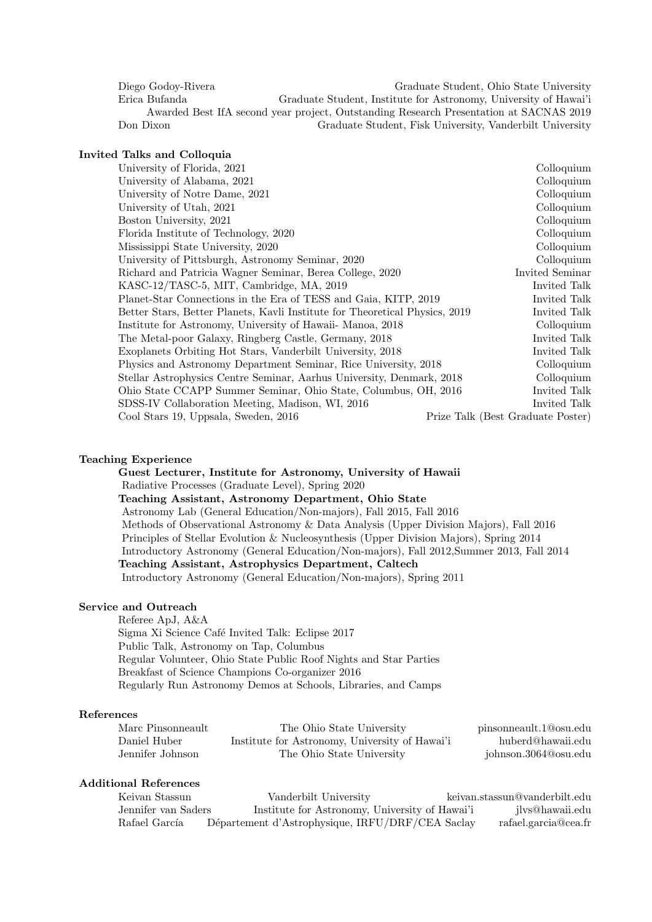Diego Godoy-Rivera Graduate Student, Ohio State University Erica Bufanda Graduate Student, Institute for Astronomy, University of Hawai'i Awarded Best IfA second year project, Outstanding Research Presentation at SACNAS 2019 Don Dixon Graduate Student, Fisk University, Vanderbilt University

# Invited Talks and Colloquia

| University of Florida, 2021                                                 |                                   | Colloquium      |
|-----------------------------------------------------------------------------|-----------------------------------|-----------------|
| University of Alabama, 2021                                                 |                                   | Colloquium      |
| University of Notre Dame, 2021                                              |                                   | Colloquium      |
| University of Utah, 2021                                                    |                                   | Colloquium      |
| Boston University, 2021                                                     |                                   | Colloquium      |
| Florida Institute of Technology, 2020                                       |                                   | Colloquium      |
| Mississippi State University, 2020                                          |                                   | Colloquium      |
| University of Pittsburgh, Astronomy Seminar, 2020                           |                                   | Colloquium      |
| Richard and Patricia Wagner Seminar, Berea College, 2020                    |                                   | Invited Seminar |
| KASC-12/TASC-5, MIT, Cambridge, MA, 2019                                    |                                   | Invited Talk    |
| Planet-Star Connections in the Era of TESS and Gaia, KITP, 2019             |                                   | Invited Talk    |
| Better Stars, Better Planets, Kavli Institute for Theoretical Physics, 2019 |                                   | Invited Talk    |
| Institute for Astronomy, University of Hawaii- Manoa, 2018                  |                                   | Colloquium      |
| The Metal-poor Galaxy, Ringberg Castle, Germany, 2018                       |                                   | Invited Talk    |
| Exoplanets Orbiting Hot Stars, Vanderbilt University, 2018                  |                                   | Invited Talk    |
| Physics and Astronomy Department Seminar, Rice University, 2018             |                                   | Colloquium      |
| Stellar Astrophysics Centre Seminar, Aarhus University, Denmark, 2018       |                                   | Colloquium      |
| Ohio State CCAPP Summer Seminar, Ohio State, Columbus, OH, 2016             |                                   | Invited Talk    |
| SDSS-IV Collaboration Meeting, Madison, WI, 2016                            |                                   | Invited Talk    |
| Cool Stars 19, Uppsala, Sweden, 2016                                        | Prize Talk (Best Graduate Poster) |                 |
|                                                                             |                                   |                 |

#### Teaching Experience

Guest Lecturer, Institute for Astronomy, University of Hawaii Radiative Processes (Graduate Level), Spring 2020 Teaching Assistant, Astronomy Department, Ohio State Astronomy Lab (General Education/Non-majors), Fall 2015, Fall 2016 Methods of Observational Astronomy & Data Analysis (Upper Division Majors), Fall 2016 Principles of Stellar Evolution & Nucleosynthesis (Upper Division Majors), Spring 2014 Introductory Astronomy (General Education/Non-majors), Fall 2012,Summer 2013, Fall 2014 Teaching Assistant, Astrophysics Department, Caltech Introductory Astronomy (General Education/Non-majors), Spring 2011

# Service and Outreach

Referee ApJ, A&A Sigma Xi Science Café Invited Talk: Eclipse 2017 Public Talk, Astronomy on Tap, Columbus Regular Volunteer, Ohio State Public Roof Nights and Star Parties Breakfast of Science Champions Co-organizer 2016 Regularly Run Astronomy Demos at Schools, Libraries, and Camps

# References

| Marc Pinsonneault | The Ohio State University                      | pinsonneault.1@osu.edu |
|-------------------|------------------------------------------------|------------------------|
| Daniel Huber      | Institute for Astronomy, University of Hawai'i | huberd@hawaii.edu      |
| Jennifer Johnson  | The Ohio State University                      | johnson.3064@osu.edu   |

# Additional References

| Keivan Stassun      | Vanderbilt University                            | keivan.stassun@vanderbilt.edu |
|---------------------|--------------------------------------------------|-------------------------------|
| Jennifer van Saders | Institute for Astronomy, University of Hawai'i   | ilys@hawaii.edu               |
| Rafael García       | Département d'Astrophysique, IRFU/DRF/CEA Saclay | rafael.garcia@cea.fr          |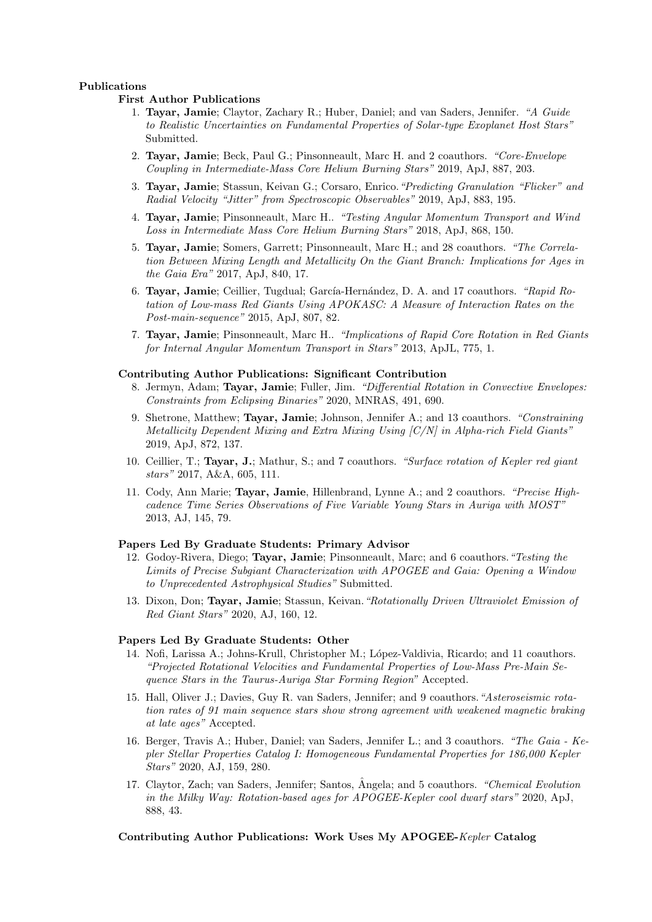## Publications

#### First Author Publications

- 1. Tayar, Jamie; Claytor, Zachary R.; Huber, Daniel; and van Saders, Jennifer. "A Guide to Realistic Uncertainties on Fundamental Properties of Solar-type Exoplanet Host Stars" Submitted.
- 2. Tayar, Jamie; Beck, Paul G.; Pinsonneault, Marc H. and 2 coauthors. "Core-Envelope Coupling in Intermediate-Mass Core Helium Burning Stars" 2019, ApJ, 887, 203.
- 3. Tayar, Jamie; Stassun, Keivan G.; Corsaro, Enrico."Predicting Granulation "Flicker" and Radial Velocity "Jitter" from Spectroscopic Observables" 2019, ApJ, 883, 195.
- 4. Tayar, Jamie; Pinsonneault, Marc H.. "Testing Angular Momentum Transport and Wind Loss in Intermediate Mass Core Helium Burning Stars" 2018, ApJ, 868, 150.
- 5. Tayar, Jamie; Somers, Garrett; Pinsonneault, Marc H.; and 28 coauthors. "The Correlation Between Mixing Length and Metallicity On the Giant Branch: Implications for Ages in the Gaia Era" 2017, ApJ, 840, 17.
- 6. Tayar, Jamie; Ceillier, Tugdual; García-Hernández, D. A. and 17 coauthors. "Rapid Rotation of Low-mass Red Giants Using APOKASC: A Measure of Interaction Rates on the Post-main-sequence" 2015, ApJ, 807, 82.
- 7. Tayar, Jamie; Pinsonneault, Marc H.. "Implications of Rapid Core Rotation in Red Giants for Internal Angular Momentum Transport in Stars" 2013, ApJL, 775, 1.

#### Contributing Author Publications: Significant Contribution

- 8. Jermyn, Adam; Tayar, Jamie; Fuller, Jim. "Differential Rotation in Convective Envelopes: Constraints from Eclipsing Binaries" 2020, MNRAS, 491, 690.
- 9. Shetrone, Matthew; Tayar, Jamie; Johnson, Jennifer A.; and 13 coauthors. "Constraining Metallicity Dependent Mixing and Extra Mixing Using [C/N] in Alpha-rich Field Giants" 2019, ApJ, 872, 137.
- 10. Ceillier, T.; Tayar, J.; Mathur, S.; and 7 coauthors. "Surface rotation of Kepler red giant stars" 2017, A&A, 605, 111.
- 11. Cody, Ann Marie; Tayar, Jamie, Hillenbrand, Lynne A.; and 2 coauthors. "Precise Highcadence Time Series Observations of Five Variable Young Stars in Auriga with MOST" 2013, AJ, 145, 79.

### Papers Led By Graduate Students: Primary Advisor

- 12. Godoy-Rivera, Diego; Tayar, Jamie; Pinsonneault, Marc; and 6 coauthors."Testing the Limits of Precise Subgiant Characterization with APOGEE and Gaia: Opening a Window to Unprecedented Astrophysical Studies" Submitted.
- 13. Dixon, Don; Tayar, Jamie; Stassun, Keivan."Rotationally Driven Ultraviolet Emission of Red Giant Stars" 2020, AJ, 160, 12.

## Papers Led By Graduate Students: Other

- 14. Nofi, Larissa A.; Johns-Krull, Christopher M.; López-Valdivia, Ricardo; and 11 coauthors. "Projected Rotational Velocities and Fundamental Properties of Low-Mass Pre-Main Sequence Stars in the Taurus-Auriga Star Forming Region" Accepted.
- 15. Hall, Oliver J.; Davies, Guy R. van Saders, Jennifer; and 9 coauthors."Asteroseismic rotation rates of 91 main sequence stars show strong agreement with weakened magnetic braking at late ages" Accepted.
- 16. Berger, Travis A.; Huber, Daniel; van Saders, Jennifer L.; and 3 coauthors. "The Gaia Kepler Stellar Properties Catalog I: Homogeneous Fundamental Properties for 186,000 Kepler Stars" 2020, AJ, 159, 280.
- 17. Claytor, Zach; van Saders, Jennifer; Santos, Ângela; and 5 coauthors. *"Chemical Evolution* in the Milky Way: Rotation-based ages for APOGEE-Kepler cool dwarf stars" 2020, ApJ, 888, 43.

# Contributing Author Publications: Work Uses My APOGEE-Kepler Catalog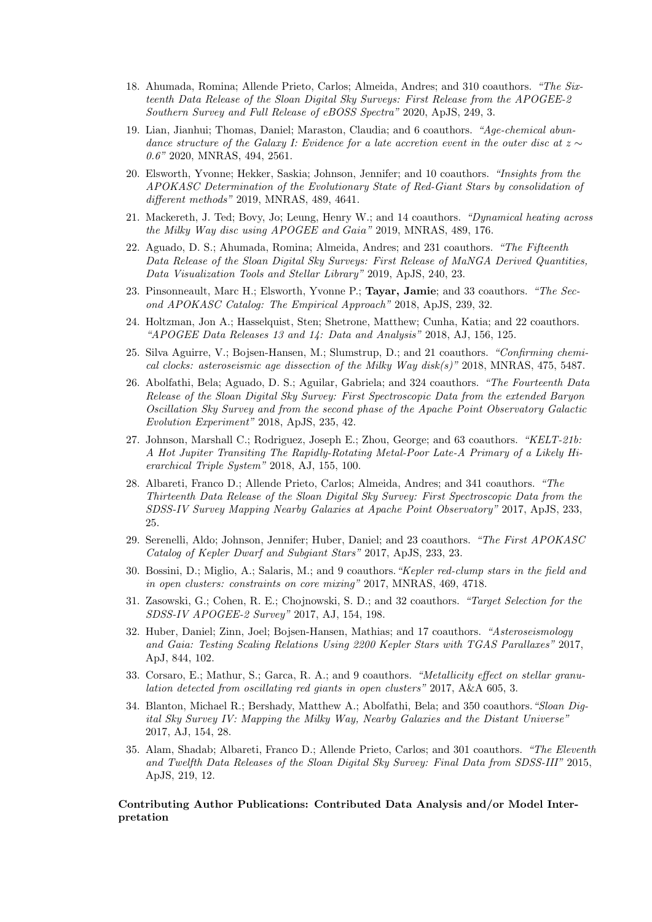- 18. Ahumada, Romina; Allende Prieto, Carlos; Almeida, Andres; and 310 coauthors. "The Sixteenth Data Release of the Sloan Digital Sky Surveys: First Release from the APOGEE-2 Southern Survey and Full Release of eBOSS Spectra" 2020, ApJS, 249, 3.
- 19. Lian, Jianhui; Thomas, Daniel; Maraston, Claudia; and 6 coauthors. "Age-chemical abundance structure of the Galaxy I: Evidence for a late accretion event in the outer disc at  $z \sim$ 0.6" 2020, MNRAS, 494, 2561.
- 20. Elsworth, Yvonne; Hekker, Saskia; Johnson, Jennifer; and 10 coauthors. "Insights from the APOKASC Determination of the Evolutionary State of Red-Giant Stars by consolidation of different methods" 2019, MNRAS, 489, 4641.
- 21. Mackereth, J. Ted; Bovy, Jo; Leung, Henry W.; and 14 coauthors. "Dynamical heating across the Milky Way disc using APOGEE and Gaia" 2019, MNRAS, 489, 176.
- 22. Aguado, D. S.; Ahumada, Romina; Almeida, Andres; and 231 coauthors. "The Fifteenth Data Release of the Sloan Digital Sky Surveys: First Release of MaNGA Derived Quantities, Data Visualization Tools and Stellar Library" 2019, ApJS, 240, 23.
- 23. Pinsonneault, Marc H.; Elsworth, Yvonne P.; Tayar, Jamie; and 33 coauthors. "The Second APOKASC Catalog: The Empirical Approach" 2018, ApJS, 239, 32.
- 24. Holtzman, Jon A.; Hasselquist, Sten; Shetrone, Matthew; Cunha, Katia; and 22 coauthors. "APOGEE Data Releases 13 and  $14$ : Data and Analysis" 2018, AJ, 156, 125.
- 25. Silva Aguirre, V.; Bojsen-Hansen, M.; Slumstrup, D.; and 21 coauthors. "Confirming chemical clocks: asteroseismic age dissection of the Milky Way disk(s)"  $2018$ , MNRAS, 475, 5487.
- 26. Abolfathi, Bela; Aguado, D. S.; Aguilar, Gabriela; and 324 coauthors. "The Fourteenth Data Release of the Sloan Digital Sky Survey: First Spectroscopic Data from the extended Baryon Oscillation Sky Survey and from the second phase of the Apache Point Observatory Galactic Evolution Experiment" 2018, ApJS, 235, 42.
- 27. Johnson, Marshall C.; Rodriguez, Joseph E.; Zhou, George; and 63 coauthors. "KELT-21b: A Hot Jupiter Transiting The Rapidly-Rotating Metal-Poor Late-A Primary of a Likely Hierarchical Triple System" 2018, AJ, 155, 100.
- 28. Albareti, Franco D.; Allende Prieto, Carlos; Almeida, Andres; and 341 coauthors. "The Thirteenth Data Release of the Sloan Digital Sky Survey: First Spectroscopic Data from the SDSS-IV Survey Mapping Nearby Galaxies at Apache Point Observatory" 2017, ApJS, 233, 25.
- 29. Serenelli, Aldo; Johnson, Jennifer; Huber, Daniel; and 23 coauthors. "The First APOKASC Catalog of Kepler Dwarf and Subgiant Stars" 2017, ApJS, 233, 23.
- 30. Bossini, D.; Miglio, A.; Salaris, M.; and 9 coauthors."Kepler red-clump stars in the field and in open clusters: constraints on core mixing" 2017, MNRAS, 469, 4718.
- 31. Zasowski, G.; Cohen, R. E.; Chojnowski, S. D.; and 32 coauthors. "Target Selection for the SDSS-IV APOGEE-2 Survey" 2017, AJ, 154, 198.
- 32. Huber, Daniel; Zinn, Joel; Bojsen-Hansen, Mathias; and 17 coauthors. "Asteroseismology and Gaia: Testing Scaling Relations Using 2200 Kepler Stars with TGAS Parallaxes" 2017, ApJ, 844, 102.
- 33. Corsaro, E.; Mathur, S.; Garca, R. A.; and 9 coauthors. "Metallicity effect on stellar granulation detected from oscillating red giants in open clusters" 2017, A&A 605, 3.
- 34. Blanton, Michael R.; Bershady, Matthew A.; Abolfathi, Bela; and 350 coauthors."Sloan Digital Sky Survey IV: Mapping the Milky Way, Nearby Galaxies and the Distant Universe" 2017, AJ, 154, 28.
- 35. Alam, Shadab; Albareti, Franco D.; Allende Prieto, Carlos; and 301 coauthors. "The Eleventh and Twelfth Data Releases of the Sloan Digital Sky Survey: Final Data from SDSS-III" 2015, ApJS, 219, 12.

## Contributing Author Publications: Contributed Data Analysis and/or Model Interpretation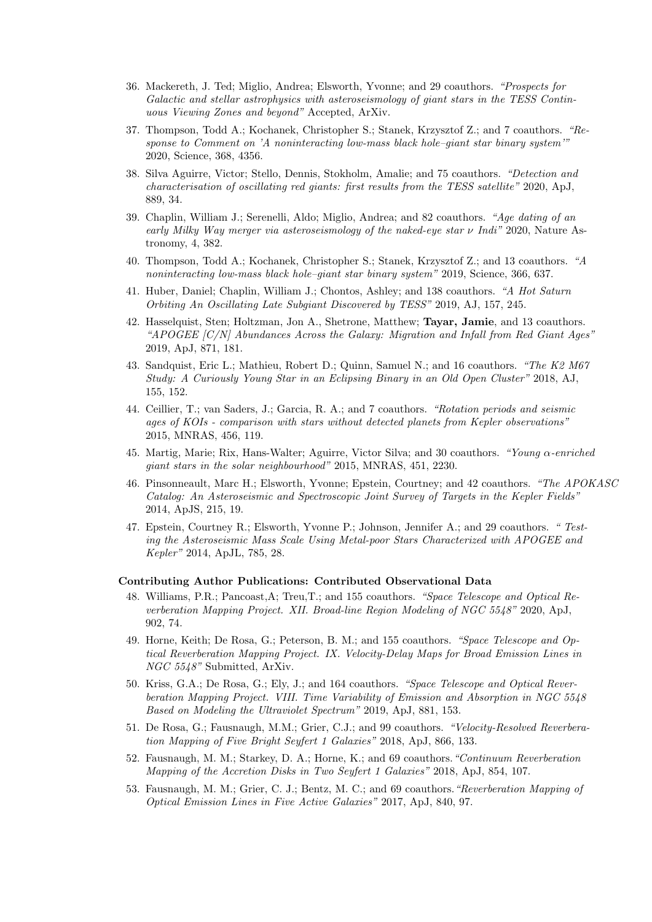- 36. Mackereth, J. Ted; Miglio, Andrea; Elsworth, Yvonne; and 29 coauthors. "Prospects for Galactic and stellar astrophysics with asteroseismology of giant stars in the TESS Continuous Viewing Zones and beyond" Accepted, ArXiv.
- 37. Thompson, Todd A.; Kochanek, Christopher S.; Stanek, Krzysztof Z.; and 7 coauthors. "Response to Comment on 'A noninteracting low-mass black hole–giant star binary system'" 2020, Science, 368, 4356.
- 38. Silva Aguirre, Victor; Stello, Dennis, Stokholm, Amalie; and 75 coauthors. "Detection and characterisation of oscillating red giants: first results from the TESS satellite" 2020, ApJ, 889, 34.
- 39. Chaplin, William J.; Serenelli, Aldo; Miglio, Andrea; and 82 coauthors. "Age dating of an early Milky Way merger via asteroseismology of the naked-eye star  $\nu$  Indi" 2020, Nature Astronomy, 4, 382.
- 40. Thompson, Todd A.; Kochanek, Christopher S.; Stanek, Krzysztof Z.; and 13 coauthors. "A noninteracting low-mass black hole–giant star binary system" 2019, Science, 366, 637.
- 41. Huber, Daniel; Chaplin, William J.; Chontos, Ashley; and 138 coauthors. "A Hot Saturn Orbiting An Oscillating Late Subgiant Discovered by TESS" 2019, AJ, 157, 245.
- 42. Hasselquist, Sten; Holtzman, Jon A., Shetrone, Matthew; Tayar, Jamie, and 13 coauthors. "APOGEE [C/N] Abundances Across the Galaxy: Migration and Infall from Red Giant Ages" 2019, ApJ, 871, 181.
- 43. Sandquist, Eric L.; Mathieu, Robert D.; Quinn, Samuel N.; and 16 coauthors. "The K2 M67 Study: A Curiously Young Star in an Eclipsing Binary in an Old Open Cluster" 2018, AJ, 155, 152.
- 44. Ceillier, T.; van Saders, J.; Garcia, R. A.; and 7 coauthors. "Rotation periods and seismic ages of KOIs - comparison with stars without detected planets from Kepler observations" 2015, MNRAS, 456, 119.
- 45. Martig, Marie; Rix, Hans-Walter; Aguirre, Victor Silva; and 30 coauthors. "Young α-enriched giant stars in the solar neighbourhood" 2015, MNRAS, 451, 2230.
- 46. Pinsonneault, Marc H.; Elsworth, Yvonne; Epstein, Courtney; and 42 coauthors. "The APOKASC Catalog: An Asteroseismic and Spectroscopic Joint Survey of Targets in the Kepler Fields" 2014, ApJS, 215, 19.
- 47. Epstein, Courtney R.; Elsworth, Yvonne P.; Johnson, Jennifer A.; and 29 coauthors. " Testing the Asteroseismic Mass Scale Using Metal-poor Stars Characterized with APOGEE and Kepler" 2014, ApJL, 785, 28.

### Contributing Author Publications: Contributed Observational Data

- 48. Williams, P.R.; Pancoast,A; Treu,T.; and 155 coauthors. "Space Telescope and Optical Reverberation Mapping Project. XII. Broad-line Region Modeling of NGC 5548" 2020, ApJ, 902, 74.
- 49. Horne, Keith; De Rosa, G.; Peterson, B. M.; and 155 coauthors. "Space Telescope and Optical Reverberation Mapping Project. IX. Velocity-Delay Maps for Broad Emission Lines in NGC 5548" Submitted, ArXiv.
- 50. Kriss, G.A.; De Rosa, G.; Ely, J.; and 164 coauthors. "Space Telescope and Optical Reverberation Mapping Project. VIII. Time Variability of Emission and Absorption in NGC 5548 Based on Modeling the Ultraviolet Spectrum" 2019, ApJ, 881, 153.
- 51. De Rosa, G.; Fausnaugh, M.M.; Grier, C.J.; and 99 coauthors. "Velocity-Resolved Reverberation Mapping of Five Bright Seyfert 1 Galaxies" 2018, ApJ, 866, 133.
- 52. Fausnaugh, M. M.; Starkey, D. A.; Horne, K.; and 69 coauthors."Continuum Reverberation Mapping of the Accretion Disks in Two Seyfert 1 Galaxies" 2018, ApJ, 854, 107.
- 53. Fausnaugh, M. M.; Grier, C. J.; Bentz, M. C.; and 69 coauthors."Reverberation Mapping of Optical Emission Lines in Five Active Galaxies" 2017, ApJ, 840, 97.